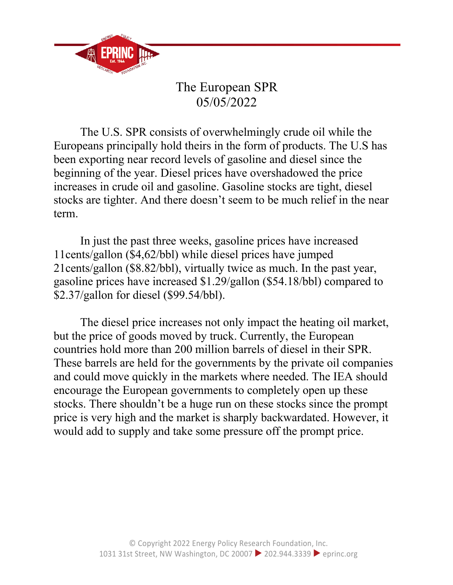

## The European SPR 05/05/2022

The U.S. SPR consists of overwhelmingly crude oil while the Europeans principally hold theirs in the form of products. The U.S has been exporting near record levels of gasoline and diesel since the beginning of the year. Diesel prices have overshadowed the price increases in crude oil and gasoline. Gasoline stocks are tight, diesel stocks are tighter. And there doesn't seem to be much relief in the near term.

In just the past three weeks, gasoline prices have increased 11cents/gallon (\$4,62/bbl) while diesel prices have jumped 21cents/gallon (\$8.82/bbl), virtually twice as much. In the past year, gasoline prices have increased \$1.29/gallon (\$54.18/bbl) compared to \$2.37/gallon for diesel (\$99.54/bbl).

The diesel price increases not only impact the heating oil market, but the price of goods moved by truck. Currently, the European countries hold more than 200 million barrels of diesel in their SPR. These barrels are held for the governments by the private oil companies and could move quickly in the markets where needed. The IEA should encourage the European governments to completely open up these stocks. There shouldn't be a huge run on these stocks since the prompt price is very high and the market is sharply backwardated. However, it would add to supply and take some pressure off the prompt price.